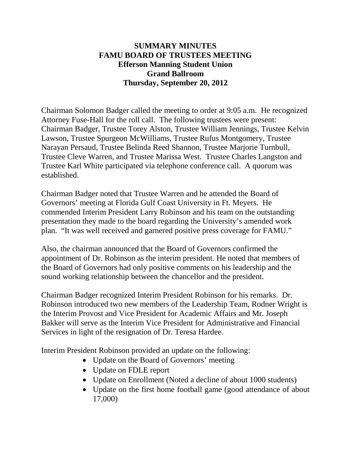### **SUMMARY MINUTES FAMU BOARD OF TRUSTEES MEETING Efferson Manning Student Union Grand Ballroom Thursday, September 20, 2012**

Chairman Solomon Badger called the meeting to order at 9:05 a.m. He recognized Attorney Fuse-Hall for the roll call. The following trustees were present: Chairman Badger, Trustee Torey Alston, Trustee William Jennings, Trustee Kelvin Lawson, Trustee Spurgeon McWilliams, Trustee Rufus Montgomery, Trustee Narayan Persaud, Trustee Belinda Reed Shannon, Trustee Marjorie Turnbull, Trustee Cleve Warren, and Trustee Marissa West. Trustee Charles Langston and Trustee Karl White participated via telephone conference call. A quorum was established.

Chairman Badger noted that Trustee Warren and he attended the Board of Governors' meeting at Florida Gulf Coast University in Ft. Meyers. He commended Interim President Larry Robinson and his team on the outstanding presentation they made to the board regarding the University's amended work plan. "It was well received and garnered positive press coverage for FAMU."

Also, the chairman announced that the Board of Governors confirmed the appointment of Dr. Robinson as the interim president. He noted that members of the Board of Governors had only positive comments on his leadership and the sound working relationship between the chancellor and the president.

Chairman Badger recognized Interim President Robinson for his remarks. Dr. Robinson introduced two new members of the Leadership Team, Rodner Wright is the Interim Provost and Vice President for Academic Affairs and Mr. Joseph Bakker will serve as the Interim Vice President for Administrative and Financial Services in light of the resignation of Dr. Teresa Hardee.

Interim President Robinson provided an update on the following:

- Update on the Board of Governors' meeting
- Update on FDLE report
- Update on Enrollment (Noted a decline of about 1000 students)
- Update on the first home football game (good attendance of about 17,000)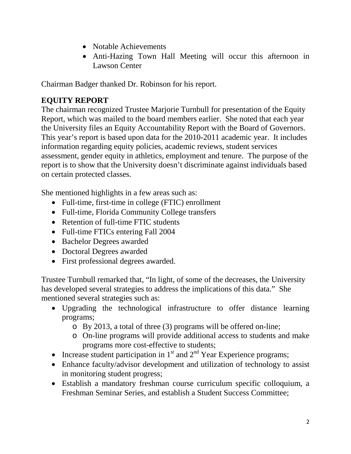- Notable Achievements
- Anti-Hazing Town Hall Meeting will occur this afternoon in Lawson Center

Chairman Badger thanked Dr. Robinson for his report.

# **EQUITY REPORT**

The chairman recognized Trustee Marjorie Turnbull for presentation of the Equity Report, which was mailed to the board members earlier. She noted that each year the University files an Equity Accountability Report with the Board of Governors. This year's report is based upon data for the 2010-2011 academic year. It includes information regarding equity policies, academic reviews, student services assessment, gender equity in athletics, employment and tenure. The purpose of the report is to show that the University doesn't discriminate against individuals based on certain protected classes.

She mentioned highlights in a few areas such as:

- Full-time, first-time in college (FTIC) enrollment
- Full-time, Florida Community College transfers
- Retention of full-time FTIC students
- Full-time FTICs entering Fall 2004
- Bachelor Degrees awarded
- Doctoral Degrees awarded
- First professional degrees awarded.

Trustee Turnbull remarked that, "In light, of some of the decreases, the University has developed several strategies to address the implications of this data." She mentioned several strategies such as:

- Upgrading the technological infrastructure to offer distance learning programs;
	- o By 2013, a total of three (3) programs will be offered on-line;
	- o On-line programs will provide additional access to students and make programs more cost-effective to students;
- Increase student participation in  $1<sup>st</sup>$  and  $2<sup>nd</sup>$  Year Experience programs;
- Enhance faculty/advisor development and utilization of technology to assist in monitoring student progress;
- Establish a mandatory freshman course curriculum specific colloquium, a Freshman Seminar Series, and establish a Student Success Committee;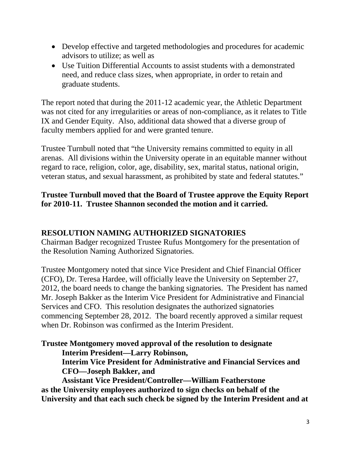- Develop effective and targeted methodologies and procedures for academic advisors to utilize; as well as
- Use Tuition Differential Accounts to assist students with a demonstrated need, and reduce class sizes, when appropriate, in order to retain and graduate students.

The report noted that during the 2011-12 academic year, the Athletic Department was not cited for any irregularities or areas of non-compliance, as it relates to Title IX and Gender Equity. Also, additional data showed that a diverse group of faculty members applied for and were granted tenure.

Trustee Turnbull noted that "the University remains committed to equity in all arenas. All divisions within the University operate in an equitable manner without regard to race, religion, color, age, disability, sex, marital status, national origin, veteran status, and sexual harassment, as prohibited by state and federal statutes."

## **Trustee Turnbull moved that the Board of Trustee approve the Equity Report for 2010-11. Trustee Shannon seconded the motion and it carried.**

### **RESOLUTION NAMING AUTHORIZED SIGNATORIES**

Chairman Badger recognized Trustee Rufus Montgomery for the presentation of the Resolution Naming Authorized Signatories.

Trustee Montgomery noted that since Vice President and Chief Financial Officer (CFO), Dr. Teresa Hardee, will officially leave the University on September 27, 2012, the board needs to change the banking signatories. The President has named Mr. Joseph Bakker as the Interim Vice President for Administrative and Financial Services and CFO. This resolution designates the authorized signatories commencing September 28, 2012. The board recently approved a similar request when Dr. Robinson was confirmed as the Interim President.

**Trustee Montgomery moved approval of the resolution to designate Interim President—Larry Robinson,**

**Interim Vice President for Administrative and Financial Services and CFO—Joseph Bakker, and**

**Assistant Vice President/Controller—William Featherstone as the University employees authorized to sign checks on behalf of the University and that each such check be signed by the Interim President and at**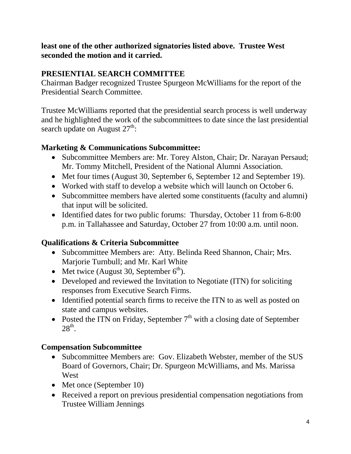**least one of the other authorized signatories listed above. Trustee West seconded the motion and it carried.**

## **PRESIENTIAL SEARCH COMMITTEE**

Chairman Badger recognized Trustee Spurgeon McWilliams for the report of the Presidential Search Committee.

Trustee McWilliams reported that the presidential search process is well underway and he highlighted the work of the subcommittees to date since the last presidential search update on August  $27<sup>th</sup>$ :

### **Marketing & Communications Subcommittee:**

- Subcommittee Members are: Mr. Torey Alston, Chair; Dr. Narayan Persaud; Mr. Tommy Mitchell, President of the National Alumni Association.
- Met four times (August 30, September 6, September 12 and September 19).
- Worked with staff to develop a website which will launch on October 6.
- Subcommittee members have alerted some constituents (faculty and alumni) that input will be solicited.
- Identified dates for two public forums: Thursday, October 11 from 6-8:00 p.m. in Tallahassee and Saturday, October 27 from 10:00 a.m. until noon.

### **Qualifications & Criteria Subcommittee**

- Subcommittee Members are: Atty. Belinda Reed Shannon, Chair; Mrs. Marjorie Turnbull; and Mr. Karl White
- Met twice (August 30, September  $6<sup>th</sup>$ ).
- Developed and reviewed the Invitation to Negotiate (ITN) for soliciting responses from Executive Search Firms.
- Identified potential search firms to receive the ITN to as well as posted on state and campus websites.
- Posted the ITN on Friday, September  $7<sup>th</sup>$  with a closing date of September  $28<sup>th</sup>$ .

### **Compensation Subcommittee**

- Subcommittee Members are: Gov. Elizabeth Webster, member of the SUS Board of Governors, Chair; Dr. Spurgeon McWilliams, and Ms. Marissa **West**
- Met once (September 10)
- Received a report on previous presidential compensation negotiations from Trustee William Jennings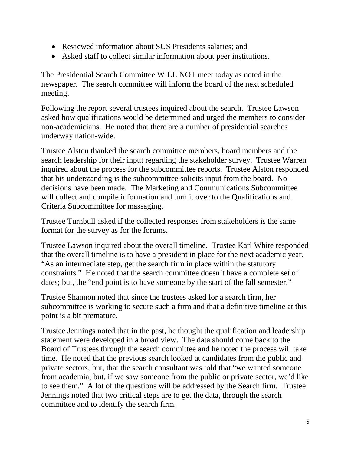- Reviewed information about SUS Presidents salaries; and
- Asked staff to collect similar information about peer institutions.

The Presidential Search Committee WILL NOT meet today as noted in the newspaper. The search committee will inform the board of the next scheduled meeting.

Following the report several trustees inquired about the search. Trustee Lawson asked how qualifications would be determined and urged the members to consider non-academicians. He noted that there are a number of presidential searches underway nation-wide.

Trustee Alston thanked the search committee members, board members and the search leadership for their input regarding the stakeholder survey. Trustee Warren inquired about the process for the subcommittee reports. Trustee Alston responded that his understanding is the subcommittee solicits input from the board. No decisions have been made. The Marketing and Communications Subcommittee will collect and compile information and turn it over to the Qualifications and Criteria Subcommittee for massaging.

Trustee Turnbull asked if the collected responses from stakeholders is the same format for the survey as for the forums.

Trustee Lawson inquired about the overall timeline. Trustee Karl White responded that the overall timeline is to have a president in place for the next academic year. "As an intermediate step, get the search firm in place within the statutory constraints." He noted that the search committee doesn't have a complete set of dates; but, the "end point is to have someone by the start of the fall semester."

Trustee Shannon noted that since the trustees asked for a search firm, her subcommittee is working to secure such a firm and that a definitive timeline at this point is a bit premature.

Trustee Jennings noted that in the past, he thought the qualification and leadership statement were developed in a broad view. The data should come back to the Board of Trustees through the search committee and he noted the process will take time. He noted that the previous search looked at candidates from the public and private sectors; but, that the search consultant was told that "we wanted someone from academia; but, if we saw someone from the public or private sector, we'd like to see them." A lot of the questions will be addressed by the Search firm. Trustee Jennings noted that two critical steps are to get the data, through the search committee and to identify the search firm.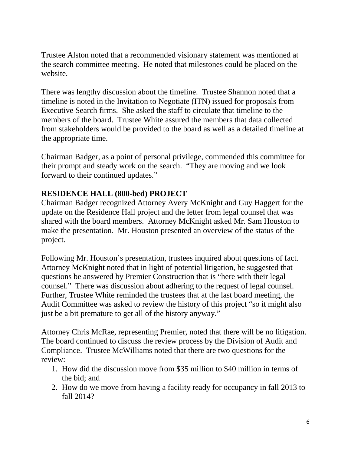Trustee Alston noted that a recommended visionary statement was mentioned at the search committee meeting. He noted that milestones could be placed on the website.

There was lengthy discussion about the timeline. Trustee Shannon noted that a timeline is noted in the Invitation to Negotiate (ITN) issued for proposals from Executive Search firms. She asked the staff to circulate that timeline to the members of the board. Trustee White assured the members that data collected from stakeholders would be provided to the board as well as a detailed timeline at the appropriate time.

Chairman Badger, as a point of personal privilege, commended this committee for their prompt and steady work on the search. "They are moving and we look forward to their continued updates."

#### **RESIDENCE HALL (800-bed) PROJECT**

Chairman Badger recognized Attorney Avery McKnight and Guy Haggert for the update on the Residence Hall project and the letter from legal counsel that was shared with the board members. Attorney McKnight asked Mr. Sam Houston to make the presentation. Mr. Houston presented an overview of the status of the project.

Following Mr. Houston's presentation, trustees inquired about questions of fact. Attorney McKnight noted that in light of potential litigation, he suggested that questions be answered by Premier Construction that is "here with their legal counsel." There was discussion about adhering to the request of legal counsel. Further, Trustee White reminded the trustees that at the last board meeting, the Audit Committee was asked to review the history of this project "so it might also just be a bit premature to get all of the history anyway."

Attorney Chris McRae, representing Premier, noted that there will be no litigation. The board continued to discuss the review process by the Division of Audit and Compliance. Trustee McWilliams noted that there are two questions for the review:

- 1. How did the discussion move from \$35 million to \$40 million in terms of the bid; and
- 2. How do we move from having a facility ready for occupancy in fall 2013 to fall 2014?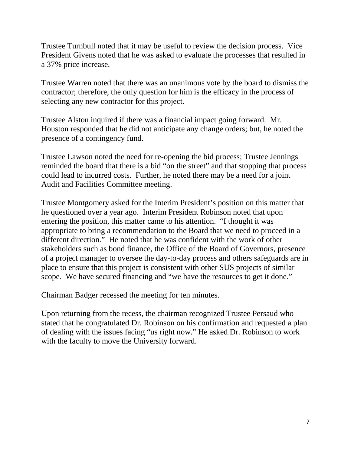Trustee Turnbull noted that it may be useful to review the decision process. Vice President Givens noted that he was asked to evaluate the processes that resulted in a 37% price increase.

Trustee Warren noted that there was an unanimous vote by the board to dismiss the contractor; therefore, the only question for him is the efficacy in the process of selecting any new contractor for this project.

Trustee Alston inquired if there was a financial impact going forward. Mr. Houston responded that he did not anticipate any change orders; but, he noted the presence of a contingency fund.

Trustee Lawson noted the need for re-opening the bid process; Trustee Jennings reminded the board that there is a bid "on the street" and that stopping that process could lead to incurred costs. Further, he noted there may be a need for a joint Audit and Facilities Committee meeting.

Trustee Montgomery asked for the Interim President's position on this matter that he questioned over a year ago. Interim President Robinson noted that upon entering the position, this matter came to his attention. "I thought it was appropriate to bring a recommendation to the Board that we need to proceed in a different direction." He noted that he was confident with the work of other stakeholders such as bond finance, the Office of the Board of Governors, presence of a project manager to oversee the day-to-day process and others safeguards are in place to ensure that this project is consistent with other SUS projects of similar scope. We have secured financing and "we have the resources to get it done."

Chairman Badger recessed the meeting for ten minutes.

Upon returning from the recess, the chairman recognized Trustee Persaud who stated that he congratulated Dr. Robinson on his confirmation and requested a plan of dealing with the issues facing "us right now." He asked Dr. Robinson to work with the faculty to move the University forward.